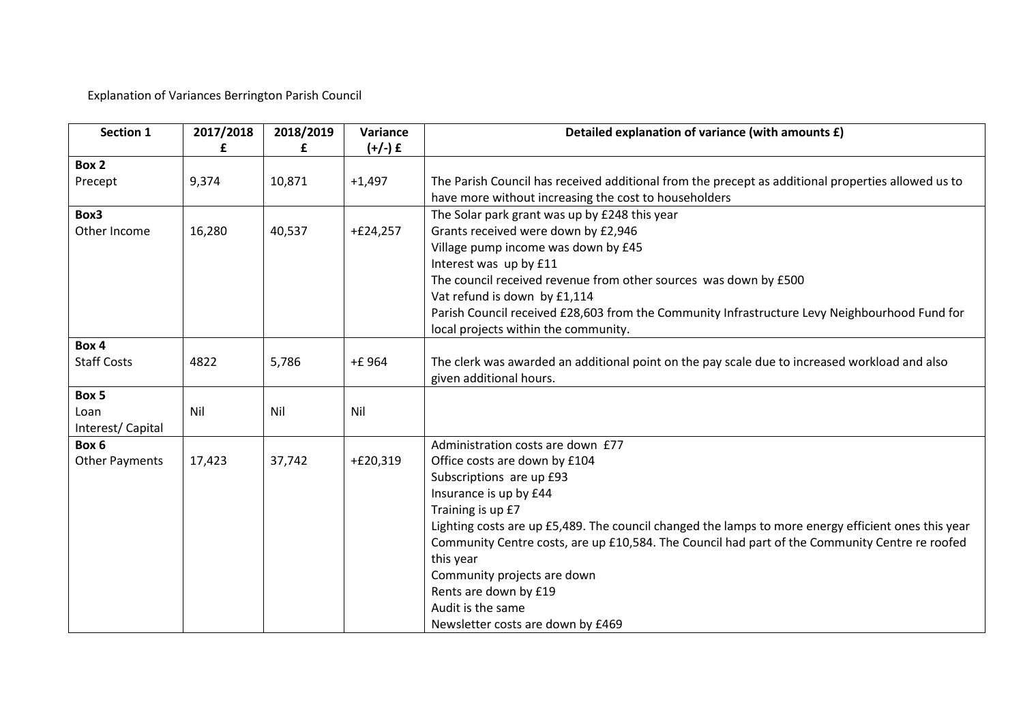Explanation of Variances Berrington Parish Council

| <b>Section 1</b>   | 2017/2018 | 2018/2019<br>£ | Variance<br>$(+/-)$ £ | Detailed explanation of variance (with amounts £)                                                                                                           |
|--------------------|-----------|----------------|-----------------------|-------------------------------------------------------------------------------------------------------------------------------------------------------------|
| Box 2              |           |                |                       |                                                                                                                                                             |
| Precept            | 9,374     | 10,871         | $+1,497$              | The Parish Council has received additional from the precept as additional properties allowed us to<br>have more without increasing the cost to householders |
| Box3               |           |                |                       | The Solar park grant was up by £248 this year                                                                                                               |
| Other Income       | 16,280    | 40,537         | $+£24,257$            | Grants received were down by £2,946                                                                                                                         |
|                    |           |                |                       | Village pump income was down by £45                                                                                                                         |
|                    |           |                |                       | Interest was up by £11                                                                                                                                      |
|                    |           |                |                       | The council received revenue from other sources was down by £500                                                                                            |
|                    |           |                |                       | Vat refund is down by £1,114                                                                                                                                |
|                    |           |                |                       | Parish Council received £28,603 from the Community Infrastructure Levy Neighbourhood Fund for<br>local projects within the community.                       |
| Box 4              |           |                |                       |                                                                                                                                                             |
| <b>Staff Costs</b> | 4822      | 5,786          | +£ 964                | The clerk was awarded an additional point on the pay scale due to increased workload and also<br>given additional hours.                                    |
| Box 5              |           |                |                       |                                                                                                                                                             |
| Loan               | Nil       | Nil            | Nil                   |                                                                                                                                                             |
| Interest/Capital   |           |                |                       |                                                                                                                                                             |
| Box 6              |           |                |                       | Administration costs are down £77                                                                                                                           |
| Other Payments     | 17,423    | 37,742         | $+£20,319$            | Office costs are down by £104                                                                                                                               |
|                    |           |                |                       | Subscriptions are up £93                                                                                                                                    |
|                    |           |                |                       | Insurance is up by £44                                                                                                                                      |
|                    |           |                |                       | Training is up £7                                                                                                                                           |
|                    |           |                |                       | Lighting costs are up £5,489. The council changed the lamps to more energy efficient ones this year                                                         |
|                    |           |                |                       | Community Centre costs, are up £10,584. The Council had part of the Community Centre re roofed                                                              |
|                    |           |                |                       | this year                                                                                                                                                   |
|                    |           |                |                       | Community projects are down                                                                                                                                 |
|                    |           |                |                       | Rents are down by £19                                                                                                                                       |
|                    |           |                |                       | Audit is the same                                                                                                                                           |
|                    |           |                |                       | Newsletter costs are down by £469                                                                                                                           |